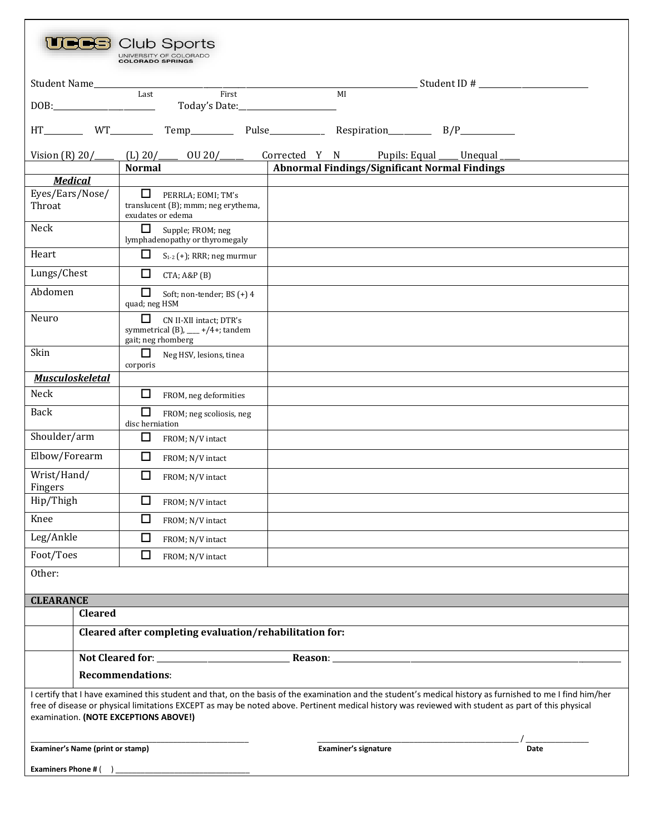| Club Sports<br>UNIVERSITY OF COLORADO<br><b>COLORADO SPRINGS</b>                                                                                                                                                                                                                                                                                         |                                                                                             |       |                                                                         |      |  |  |  |  |  |
|----------------------------------------------------------------------------------------------------------------------------------------------------------------------------------------------------------------------------------------------------------------------------------------------------------------------------------------------------------|---------------------------------------------------------------------------------------------|-------|-------------------------------------------------------------------------|------|--|--|--|--|--|
| Student Name_________                                                                                                                                                                                                                                                                                                                                    |                                                                                             |       |                                                                         |      |  |  |  |  |  |
|                                                                                                                                                                                                                                                                                                                                                          | Last                                                                                        | First | MI                                                                      |      |  |  |  |  |  |
| HT                                                                                                                                                                                                                                                                                                                                                       |                                                                                             |       |                                                                         |      |  |  |  |  |  |
|                                                                                                                                                                                                                                                                                                                                                          |                                                                                             |       | Vision (R) $20/$ (L) $20/$ 0U $20/$ Corrected Y N Pupils: Equal Unequal |      |  |  |  |  |  |
| <b>Medical</b>                                                                                                                                                                                                                                                                                                                                           | Normal                                                                                      |       | Abnormal Findings/Significant Normal Findings                           |      |  |  |  |  |  |
| Eyes/Ears/Nose/<br>Throat                                                                                                                                                                                                                                                                                                                                | PERRLA; EOMI; TM's<br>translucent (B); mmm; neg erythema,<br>exudates or edema              |       |                                                                         |      |  |  |  |  |  |
| Neck                                                                                                                                                                                                                                                                                                                                                     | □<br>Supple; FROM; neg<br>lymphadenopathy or thyromegaly                                    |       |                                                                         |      |  |  |  |  |  |
| Heart                                                                                                                                                                                                                                                                                                                                                    | □<br>$S_{1-2}$ (+); RRR; neg murmur                                                         |       |                                                                         |      |  |  |  |  |  |
| Lungs/Chest                                                                                                                                                                                                                                                                                                                                              | □<br>$CTA$ ; $A&P(B)$                                                                       |       |                                                                         |      |  |  |  |  |  |
| Abdomen                                                                                                                                                                                                                                                                                                                                                  | $\Box$<br>Soft; non-tender; BS (+) 4<br>quad; neg HSM                                       |       |                                                                         |      |  |  |  |  |  |
| Neuro                                                                                                                                                                                                                                                                                                                                                    | □<br>CN II-XII intact: DTR's<br>symmetrical (B), $\_\_\$ +/4+; tandem<br>gait; neg rhomberg |       |                                                                         |      |  |  |  |  |  |
| Skin                                                                                                                                                                                                                                                                                                                                                     | $\Box$<br>Neg HSV, lesions, tinea<br>corporis                                               |       |                                                                         |      |  |  |  |  |  |
| <b>Musculoskeletal</b>                                                                                                                                                                                                                                                                                                                                   |                                                                                             |       |                                                                         |      |  |  |  |  |  |
| Neck                                                                                                                                                                                                                                                                                                                                                     | $\Box$<br>FROM, neg deformities                                                             |       |                                                                         |      |  |  |  |  |  |
| <b>Back</b>                                                                                                                                                                                                                                                                                                                                              | $\Box$<br>FROM; neg scoliosis, neg<br>disc herniation                                       |       |                                                                         |      |  |  |  |  |  |
| Shoulder/arm                                                                                                                                                                                                                                                                                                                                             | □<br>FROM; N/V intact                                                                       |       |                                                                         |      |  |  |  |  |  |
| Elbow/Forearm                                                                                                                                                                                                                                                                                                                                            | $\Box$<br>FROM; N/V intact                                                                  |       |                                                                         |      |  |  |  |  |  |
| Wrist/Hand/<br>Fingers                                                                                                                                                                                                                                                                                                                                   | $\Box$<br>FROM; N/V intact                                                                  |       |                                                                         |      |  |  |  |  |  |
| Hip/Thigh                                                                                                                                                                                                                                                                                                                                                | ப<br>FROM; N/V intact                                                                       |       |                                                                         |      |  |  |  |  |  |
| Knee                                                                                                                                                                                                                                                                                                                                                     | □<br>FROM; N/V intact                                                                       |       |                                                                         |      |  |  |  |  |  |
| Leg/Ankle                                                                                                                                                                                                                                                                                                                                                | $\Box$<br>FROM; N/V intact                                                                  |       |                                                                         |      |  |  |  |  |  |
| Foot/Toes                                                                                                                                                                                                                                                                                                                                                | □<br>FROM; N/V intact                                                                       |       |                                                                         |      |  |  |  |  |  |
| Other:                                                                                                                                                                                                                                                                                                                                                   |                                                                                             |       |                                                                         |      |  |  |  |  |  |
| <b>CLEARANCE</b>                                                                                                                                                                                                                                                                                                                                         |                                                                                             |       |                                                                         |      |  |  |  |  |  |
| <b>Cleared</b>                                                                                                                                                                                                                                                                                                                                           |                                                                                             |       |                                                                         |      |  |  |  |  |  |
| Cleared after completing evaluation/rehabilitation for:                                                                                                                                                                                                                                                                                                  |                                                                                             |       |                                                                         |      |  |  |  |  |  |
|                                                                                                                                                                                                                                                                                                                                                          |                                                                                             |       |                                                                         |      |  |  |  |  |  |
|                                                                                                                                                                                                                                                                                                                                                          | <b>Recommendations:</b>                                                                     |       |                                                                         |      |  |  |  |  |  |
| I certify that I have examined this student and that, on the basis of the examination and the student's medical history as furnished to me I find him/her<br>free of disease or physical limitations EXCEPT as may be noted above. Pertinent medical history was reviewed with student as part of this physical<br>examination. (NOTE EXCEPTIONS ABOVE!) |                                                                                             |       |                                                                         |      |  |  |  |  |  |
| Examiner's Name (print or stamp)                                                                                                                                                                                                                                                                                                                         |                                                                                             |       | Examiner's signature                                                    | Date |  |  |  |  |  |
| <b>Examiners Phone # (</b>                                                                                                                                                                                                                                                                                                                               |                                                                                             |       |                                                                         |      |  |  |  |  |  |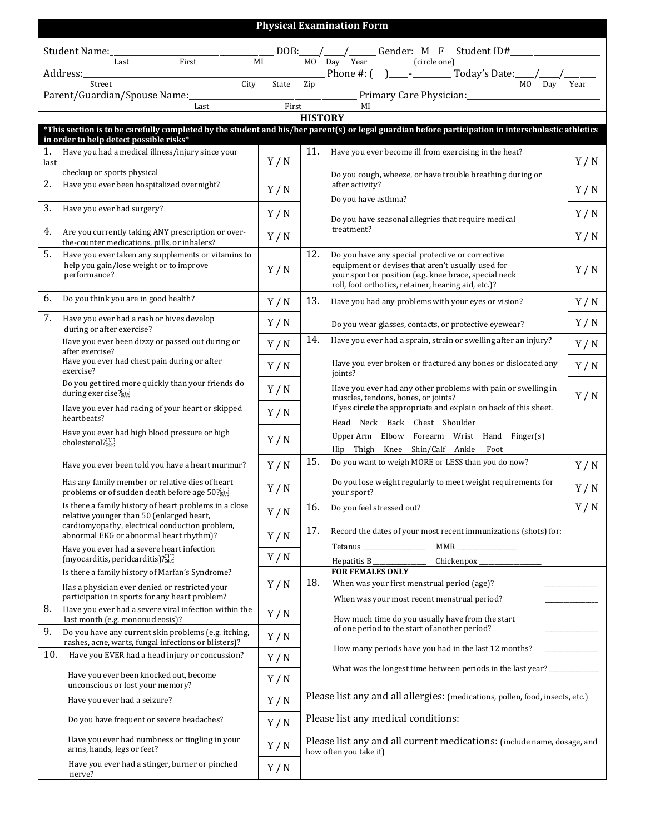|                                                                                                                                                                       | <b>Physical Examination Form</b>                                                                                                                                                                                                                                                    |       |                                                                                                                                                                                                                              |                                                                                                                                                           |     |  |  |  |  |  |  |
|-----------------------------------------------------------------------------------------------------------------------------------------------------------------------|-------------------------------------------------------------------------------------------------------------------------------------------------------------------------------------------------------------------------------------------------------------------------------------|-------|------------------------------------------------------------------------------------------------------------------------------------------------------------------------------------------------------------------------------|-----------------------------------------------------------------------------------------------------------------------------------------------------------|-----|--|--|--|--|--|--|
|                                                                                                                                                                       | Student Name:_                                                                                                                                                                                                                                                                      |       |                                                                                                                                                                                                                              | DOB: / / / Gender: M F Student ID#                                                                                                                        |     |  |  |  |  |  |  |
|                                                                                                                                                                       | First<br>Last<br>Address:_                                                                                                                                                                                                                                                          | MI    |                                                                                                                                                                                                                              | MO Day Year<br>(circle one)                                                                                                                               |     |  |  |  |  |  |  |
|                                                                                                                                                                       | Street<br>City<br>Parent/Guardian/Spouse Name:                                                                                                                                                                                                                                      | State | Zip                                                                                                                                                                                                                          | MO Day Year                                                                                                                                               |     |  |  |  |  |  |  |
|                                                                                                                                                                       | Last                                                                                                                                                                                                                                                                                |       | $\frac{1}{\text{First}}$                                                                                                                                                                                                     | MI                                                                                                                                                        |     |  |  |  |  |  |  |
| <b>HISTORY</b><br>*This section is to be carefully completed by the student and his/her parent(s) or legal guardian before participation in interscholastic athletics |                                                                                                                                                                                                                                                                                     |       |                                                                                                                                                                                                                              |                                                                                                                                                           |     |  |  |  |  |  |  |
|                                                                                                                                                                       | in order to help detect possible risks*                                                                                                                                                                                                                                             |       |                                                                                                                                                                                                                              |                                                                                                                                                           |     |  |  |  |  |  |  |
| 1.<br>last                                                                                                                                                            | Have you had a medical illness/injury since your<br>checkup or sports physical                                                                                                                                                                                                      | Y/N   | 11.                                                                                                                                                                                                                          | Have you ever become ill from exercising in the heat?<br>Do you cough, wheeze, or have trouble breathing during or                                        | Y/N |  |  |  |  |  |  |
| 2.                                                                                                                                                                    | Have you ever been hospitalized overnight?                                                                                                                                                                                                                                          | Y/N   |                                                                                                                                                                                                                              | after activity?<br>Do you have asthma?                                                                                                                    | Y/N |  |  |  |  |  |  |
| 3.                                                                                                                                                                    | Have you ever had surgery?<br>4.<br>Are you currently taking ANY prescription or over-<br>the-counter medications, pills, or inhalers?                                                                                                                                              |       |                                                                                                                                                                                                                              | Do you have seasonal allegries that require medical                                                                                                       | Y/N |  |  |  |  |  |  |
|                                                                                                                                                                       |                                                                                                                                                                                                                                                                                     |       |                                                                                                                                                                                                                              | treatment?                                                                                                                                                | Y/N |  |  |  |  |  |  |
| 5.                                                                                                                                                                    | Have you ever taken any supplements or vitamins to<br>help you gain/lose weight or to improve<br>performance?                                                                                                                                                                       | Y/N   | 12.<br>Do you have any special protective or corrective<br>equipment or devises that aren't usually used for<br>your sport or position (e.g. knee brace, special neck<br>roll, foot orthotics, retainer, hearing aid, etc.)? |                                                                                                                                                           | Y/N |  |  |  |  |  |  |
| 6.                                                                                                                                                                    | Do you think you are in good health?                                                                                                                                                                                                                                                | Y/N   | 13.                                                                                                                                                                                                                          | Have you had any problems with your eyes or vision?                                                                                                       | Y/N |  |  |  |  |  |  |
| 7.                                                                                                                                                                    | Have you ever had a rash or hives develop<br>during or after exercise?                                                                                                                                                                                                              | Y/N   |                                                                                                                                                                                                                              | Do you wear glasses, contacts, or protective eyewear?                                                                                                     | Y/N |  |  |  |  |  |  |
|                                                                                                                                                                       | Have you ever been dizzy or passed out during or<br>after exercise?                                                                                                                                                                                                                 | Y/N   | 14.                                                                                                                                                                                                                          | Have you ever had a sprain, strain or swelling after an injury?                                                                                           | Y/N |  |  |  |  |  |  |
|                                                                                                                                                                       | Have you ever had chest pain during or after<br>exercise?                                                                                                                                                                                                                           | Y/N   |                                                                                                                                                                                                                              | Have you ever broken or fractured any bones or dislocated any<br>joints?                                                                                  | Y/N |  |  |  |  |  |  |
|                                                                                                                                                                       | Do you get tired more quickly than your friends do<br>during exercise?                                                                                                                                                                                                              | Y/N   |                                                                                                                                                                                                                              | Have you ever had any other problems with pain or swelling in<br>muscles, tendons, bones, or joints?                                                      | Y/N |  |  |  |  |  |  |
|                                                                                                                                                                       | Have you ever had racing of your heart or skipped<br>heartbeats?                                                                                                                                                                                                                    | Y/N   |                                                                                                                                                                                                                              | If yes circle the appropriate and explain on back of this sheet.<br>Head Neck Back Chest Shoulder                                                         |     |  |  |  |  |  |  |
|                                                                                                                                                                       | Have you ever had high blood pressure or high<br>cholesterol?[1]                                                                                                                                                                                                                    | Y/N   |                                                                                                                                                                                                                              | Upper Arm Elbow Forearm Wrist Hand Finger(s)<br>Hip Thigh Knee Shin/Calf Ankle<br>Foot                                                                    |     |  |  |  |  |  |  |
|                                                                                                                                                                       | Have you ever been told you have a heart murmur?                                                                                                                                                                                                                                    | Y/N   | 15.                                                                                                                                                                                                                          | Do you want to weigh MORE or LESS than you do now?                                                                                                        | Y/N |  |  |  |  |  |  |
|                                                                                                                                                                       | Has any family member or relative dies of heart<br>problems or of sudden death before age 50?                                                                                                                                                                                       | Y/N   |                                                                                                                                                                                                                              | Do you lose weight regularly to meet weight requirements for<br>your sport?                                                                               | Y/N |  |  |  |  |  |  |
|                                                                                                                                                                       | Is there a family history of heart problems in a close<br>relative younger than 50 (enlarged heart,                                                                                                                                                                                 | Y/N   | 16.                                                                                                                                                                                                                          | Do you feel stressed out?                                                                                                                                 | Y/N |  |  |  |  |  |  |
|                                                                                                                                                                       | cardiomyopathy, electrical conduction problem,<br>abnormal EKG or abnormal heart rhythm)?                                                                                                                                                                                           |       | 17.                                                                                                                                                                                                                          | Record the dates of your most recent immunizations (shots) for:                                                                                           |     |  |  |  |  |  |  |
|                                                                                                                                                                       | Have you ever had a severe heart infection<br>(myocarditis, peridcarditis)? $\frac{1}{25}$                                                                                                                                                                                          |       |                                                                                                                                                                                                                              | Tetanus _______________<br>Chickenpox_<br>Hepatitis $B_{-}$                                                                                               |     |  |  |  |  |  |  |
|                                                                                                                                                                       | Is there a family history of Marfan's Syndrome?                                                                                                                                                                                                                                     | Y/N   | 18.                                                                                                                                                                                                                          | <b>FOR FEMALES ONLY</b><br>When was your first menstrual period (age)?                                                                                    |     |  |  |  |  |  |  |
|                                                                                                                                                                       | Has a physician ever denied or restricted your<br>participation in sports for any heart problem?                                                                                                                                                                                    |       |                                                                                                                                                                                                                              | When was your most recent menstrual period?                                                                                                               |     |  |  |  |  |  |  |
| 8.                                                                                                                                                                    | Have you ever had a severe viral infection within the<br>last month (e.g. mononucleosis)?                                                                                                                                                                                           | Y/N   |                                                                                                                                                                                                                              | How much time do you usually have from the start<br>of one period to the start of another period?<br>How many periods have you had in the last 12 months? |     |  |  |  |  |  |  |
| 9.                                                                                                                                                                    | Do you have any current skin problems (e.g. itching,<br>rashes, acne, warts, fungal infections or blisters)?                                                                                                                                                                        | Y/N   |                                                                                                                                                                                                                              |                                                                                                                                                           |     |  |  |  |  |  |  |
| 10.                                                                                                                                                                   | Have you EVER had a head injury or concussion?                                                                                                                                                                                                                                      | Y/N   |                                                                                                                                                                                                                              | What was the longest time between periods in the last year? ____________                                                                                  |     |  |  |  |  |  |  |
| Have you ever been knocked out, become<br>unconscious or lost your memory?                                                                                            |                                                                                                                                                                                                                                                                                     | Y/N   |                                                                                                                                                                                                                              |                                                                                                                                                           |     |  |  |  |  |  |  |
| Have you ever had a seizure?                                                                                                                                          |                                                                                                                                                                                                                                                                                     |       |                                                                                                                                                                                                                              | Please list any and all allergies: (medications, pollen, food, insects, etc.)                                                                             |     |  |  |  |  |  |  |
|                                                                                                                                                                       | Please list any medical conditions:<br>Do you have frequent or severe headaches?<br>Y/N<br>Have you ever had numbness or tingling in your<br>Please list any and all current medications: (include name, dosage, and<br>Y/N<br>arms, hands, legs or feet?<br>how often you take it) |       |                                                                                                                                                                                                                              |                                                                                                                                                           |     |  |  |  |  |  |  |
|                                                                                                                                                                       |                                                                                                                                                                                                                                                                                     |       |                                                                                                                                                                                                                              |                                                                                                                                                           |     |  |  |  |  |  |  |
| Have you ever had a stinger, burner or pinched<br>nerve?                                                                                                              |                                                                                                                                                                                                                                                                                     |       |                                                                                                                                                                                                                              |                                                                                                                                                           |     |  |  |  |  |  |  |